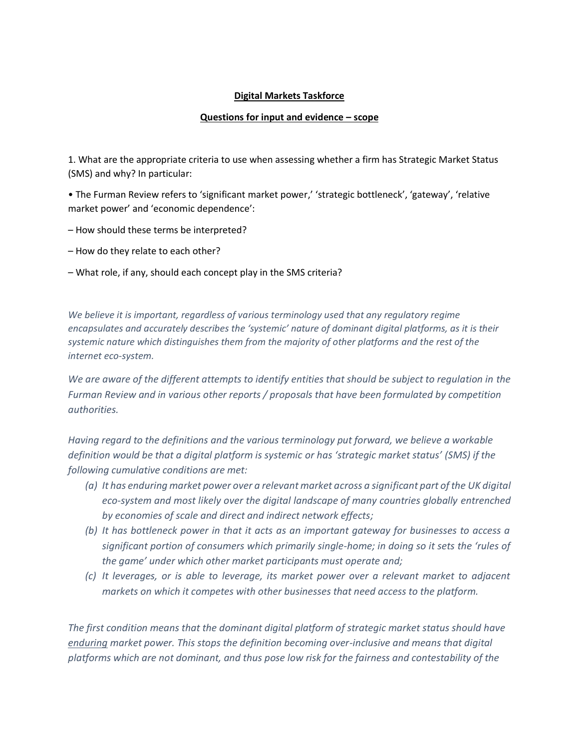#### **Digital Markets Taskforce**

### **Questions for input and evidence – scope**

1. What are the appropriate criteria to use when assessing whether a firm has Strategic Market Status (SMS) and why? In particular:

• The Furman Review refers to 'significant market power,' 'strategic bottleneck', 'gateway', 'relative market power' and 'economic dependence':

- How should these terms be interpreted?
- How do they relate to each other?
- What role, if any, should each concept play in the SMS criteria?

*We believe it is important, regardless of various terminology used that any regulatory regime encapsulates and accurately describes the 'systemic' nature of dominant digital platforms, as it is their systemic nature which distinguishes them from the majority of other platforms and the rest of the internet eco-system.*

*We are aware of the different attempts to identify entities that should be subject to regulation in the Furman Review and in various other reports / proposals that have been formulated by competition authorities.* 

*Having regard to the definitions and the various terminology put forward, we believe a workable definition would be that a digital platform is systemic or has 'strategic market status' (SMS) if the following cumulative conditions are met:*

- *(a) It has enduring market power over a relevant market across a significant part of the UK digital eco-system and most likely over the digital landscape of many countries globally entrenched by economies of scale and direct and indirect network effects;*
- *(b) It has bottleneck power in that it acts as an important gateway for businesses to access a significant portion of consumers which primarily single-home; in doing so it sets the 'rules of the game' under which other market participants must operate and;*
- *(c) It leverages, or is able to leverage, its market power over a relevant market to adjacent markets on which it competes with other businesses that need access to the platform.*

*The first condition means that the dominant digital platform of strategic market status should have enduring market power. This stops the definition becoming over-inclusive and means that digital platforms which are not dominant, and thus pose low risk for the fairness and contestability of the*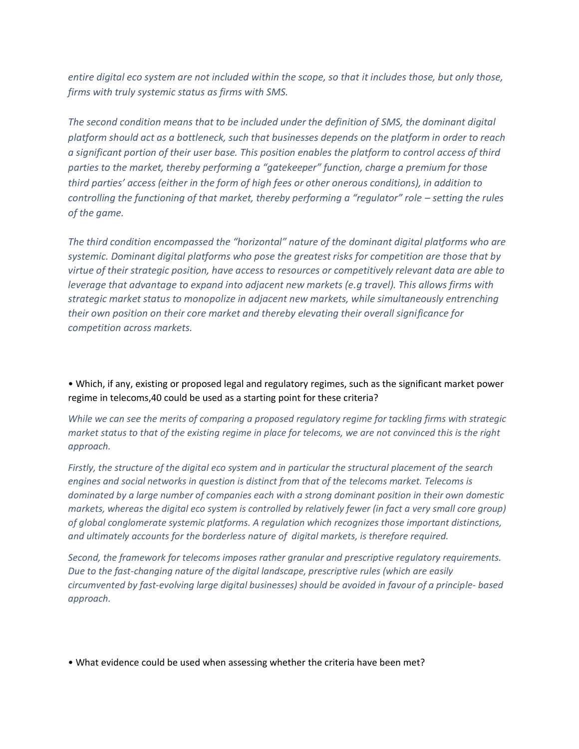*entire digital eco system are not included within the scope, so that it includes those, but only those, firms with truly systemic status as firms with SMS.*

*The second condition means that to be included under the definition of SMS, the dominant digital platform should act as a bottleneck, such that businesses depends on the platform in order to reach a significant portion of their user base. This position enables the platform to control access of third parties to the market, thereby performing a "gatekeeper" function, charge a premium for those third parties' access (either in the form of high fees or other onerous conditions), in addition to controlling the functioning of that market, thereby performing a "regulator" role – setting the rules of the game.* 

*The third condition encompassed the "horizontal" nature of the dominant digital platforms who are systemic. Dominant digital platforms who pose the greatest risks for competition are those that by virtue of their strategic position, have access to resources or competitively relevant data are able to leverage that advantage to expand into adjacent new markets (e.g travel). This allows firms with strategic market status to monopolize in adjacent new markets, while simultaneously entrenching their own position on their core market and thereby elevating their overall significance for competition across markets.*

• Which, if any, existing or proposed legal and regulatory regimes, such as the significant market power regime in telecoms,40 could be used as a starting point for these criteria?

*While we can see the merits of comparing a proposed regulatory regime for tackling firms with strategic market status to that of the existing regime in place for telecoms, we are not convinced this is the right approach.* 

*Firstly, the structure of the digital eco system and in particular the structural placement of the search engines and social networks in question is distinct from that of the telecoms market. Telecoms is dominated by a large number of companies each with a strong dominant position in their own domestic markets, whereas the digital eco system is controlled by relatively fewer (in fact a very small core group) of global conglomerate systemic platforms. A regulation which recognizes those important distinctions, and ultimately accounts for the borderless nature of digital markets, is therefore required.* 

*Second, the framework for telecoms imposes rather granular and prescriptive regulatory requirements. Due to the fast-changing nature of the digital landscape, prescriptive rules (which are easily circumvented by fast-evolving large digital businesses) should be avoided in favour of a principle- based approach.*

• What evidence could be used when assessing whether the criteria have been met?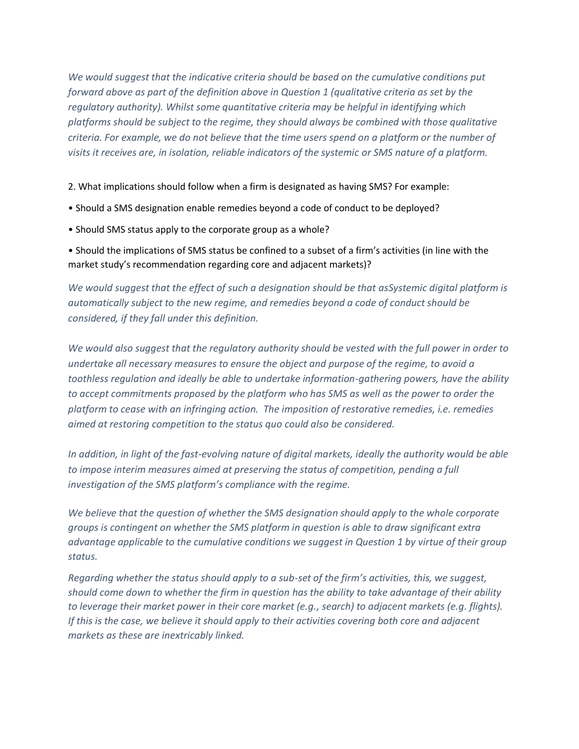*We would suggest that the indicative criteria should be based on the cumulative conditions put forward above as part of the definition above in Question 1 (qualitative criteria as set by the regulatory authority). Whilst some quantitative criteria may be helpful in identifying which platforms should be subject to the regime, they should always be combined with those qualitative criteria. For example, we do not believe that the time users spend on a platform or the number of visits it receives are, in isolation, reliable indicators of the systemic or SMS nature of a platform.* 

2. What implications should follow when a firm is designated as having SMS? For example:

- Should a SMS designation enable remedies beyond a code of conduct to be deployed?
- Should SMS status apply to the corporate group as a whole?

• Should the implications of SMS status be confined to a subset of a firm's activities (in line with the market study's recommendation regarding core and adjacent markets)?

*We would suggest that the effect of such a designation should be that asSystemic digital platform is automatically subject to the new regime, and remedies beyond a code of conduct should be considered, if they fall under this definition.* 

*We would also suggest that the regulatory authority should be vested with the full power in order to undertake all necessary measures to ensure the object and purpose of the regime, to avoid a toothless regulation and ideally be able to undertake information-gathering powers, have the ability to accept commitments proposed by the platform who has SMS as well as the power to order the platform to cease with an infringing action. The imposition of restorative remedies, i.e. remedies aimed at restoring competition to the status quo could also be considered.*

*In addition, in light of the fast-evolving nature of digital markets, ideally the authority would be able to impose interim measures aimed at preserving the status of competition, pending a full investigation of the SMS platform's compliance with the regime.* 

*We believe that the question of whether the SMS designation should apply to the whole corporate groups is contingent on whether the SMS platform in question is able to draw significant extra advantage applicable to the cumulative conditions we suggest in Question 1 by virtue of their group status.* 

*Regarding whether the status should apply to a sub-set of the firm's activities, this, we suggest, should come down to whether the firm in question has the ability to take advantage of their ability to leverage their market power in their core market (e.g., search) to adjacent markets (e.g. flights). If this is the case, we believe it should apply to their activities covering both core and adjacent markets as these are inextricably linked.*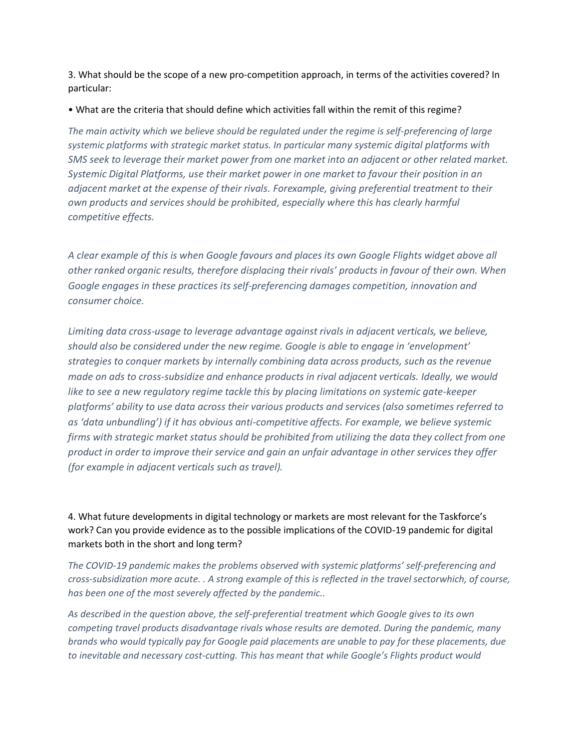3. What should be the scope of a new pro-competition approach, in terms of the activities covered? In particular:

• What are the criteria that should define which activities fall within the remit of this regime?

*The main activity which we believe should be regulated under the regime is self-preferencing of large systemic platforms with strategic market status. In particular many systemic digital platforms with SMS seek to leverage their market power from one market into an adjacent or other related market. Systemic Digital Platforms, use their market power in one market to favour their position in an adjacent market at the expense of their rivals. Forexample, giving preferential treatment to their own products and services should be prohibited, especially where this has clearly harmful competitive effects.*

*A clear example of this is when Google favours and places its own Google Flights widget above all other ranked organic results, therefore displacing their rivals' products in favour of their own. When Google engages in these practices its self-preferencing damages competition, innovation and consumer choice.*

*Limiting data cross-usage to leverage advantage against rivals in adjacent verticals, we believe, should also be considered under the new regime. Google is able to engage in 'envelopment' strategies to conquer markets by internally combining data across products, such as the revenue made on ads to cross-subsidize and enhance products in rival adjacent verticals. Ideally, we would like to see a new regulatory regime tackle this by placing limitations on systemic gate-keeper platforms' ability to use data across their various products and services (also sometimes referred to as 'data unbundling') if it has obvious anti-competitive affects. For example, we believe systemic firms with strategic market status should be prohibited from utilizing the data they collect from one product in order to improve their service and gain an unfair advantage in other services they offer (for example in adjacent verticals such as travel).* 

4. What future developments in digital technology or markets are most relevant for the Taskforce's work? Can you provide evidence as to the possible implications of the COVID-19 pandemic for digital markets both in the short and long term?

*The COVID-19 pandemic makes the problems observed with systemic platforms' self-preferencing and cross-subsidization more acute. . A strong example of this is reflected in the travel sectorwhich, of course, has been one of the most severely affected by the pandemic..*

*As described in the question above, the self-preferential treatment which Google gives to its own competing travel products disadvantage rivals whose results are demoted. During the pandemic, many brands who would typically pay for Google paid placements are unable to pay for these placements, due to inevitable and necessary cost-cutting. This has meant that while Google's Flights product would*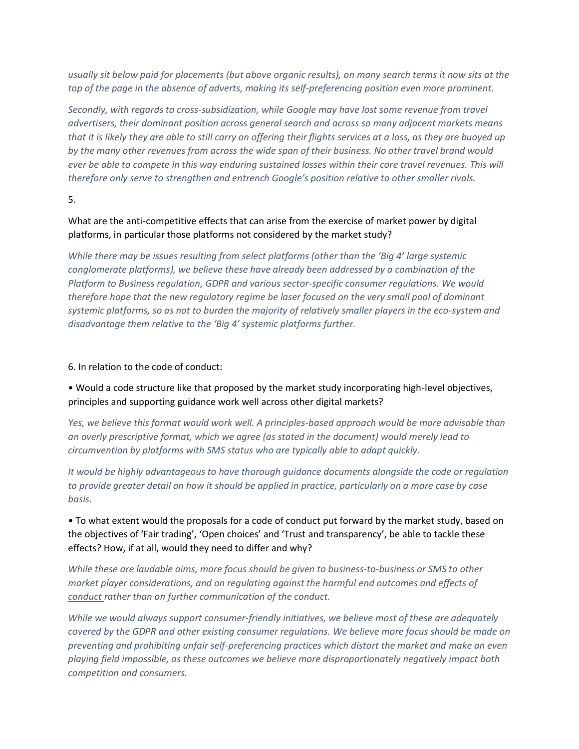*usually sit below paid for placements (but above organic results), on many search terms it now sits at the top of the page in the absence of adverts, making its self-preferencing position even more prominent.* 

*Secondly, with regards to cross-subsidization, while Google may have lost some revenue from travel advertisers, their dominant position across general search and across so many adjacent markets means that it is likely they are able to still carry on offering their flights services at a loss, as they are buoyed up by the many other revenues from across the wide span of their business. No other travel brand would ever be able to compete in this way enduring sustained losses within their core travel revenues. This will therefore only serve to strengthen and entrench Google's position relative to other smaller rivals.* 

5.

### What are the anti-competitive effects that can arise from the exercise of market power by digital platforms, in particular those platforms not considered by the market study?

*While there may be issues resulting from select platforms (other than the 'Big 4' large systemic conglomerate platforms), we believe these have already been addressed by a combination of the Platform to Business regulation, GDPR and various sector-specific consumer regulations. We would therefore hope that the new regulatory regime be laser focused on the very small pool of dominant systemic platforms, so as not to burden the majority of relatively smaller players in the eco-system and disadvantage them relative to the 'Big 4' systemic platforms further.* 

### 6. In relation to the code of conduct:

# • Would a code structure like that proposed by the market study incorporating high-level objectives, principles and supporting guidance work well across other digital markets?

*Yes, we believe this format would work well. A principles-based approach would be more advisable than an overly prescriptive format, which we agree (as stated in the document) would merely lead to circumvention by platforms with SMS status who are typically able to adapt quickly.* 

*It would be highly advantageous to have thorough guidance documents alongside the code or regulation to provide greater detail on how it should be applied in practice, particularly on a more case by case basis.* 

• To what extent would the proposals for a code of conduct put forward by the market study, based on the objectives of 'Fair trading', 'Open choices' and 'Trust and transparency', be able to tackle these effects? How, if at all, would they need to differ and why?

*While these are laudable aims, more focus should be given to business-to-business or SMS to other market player considerations, and on regulating against the harmful end outcomes and effects of conduct rather than on further communication of the conduct.* 

*While we would always support consumer-friendly initiatives, we believe most of these are adequately covered by the GDPR and other existing consumer regulations. We believe more focus should be made on preventing and prohibiting unfair self-preferencing practices which distort the market and make an even playing field impossible, as these outcomes we believe more disproportionately negatively impact both competition and consumers.*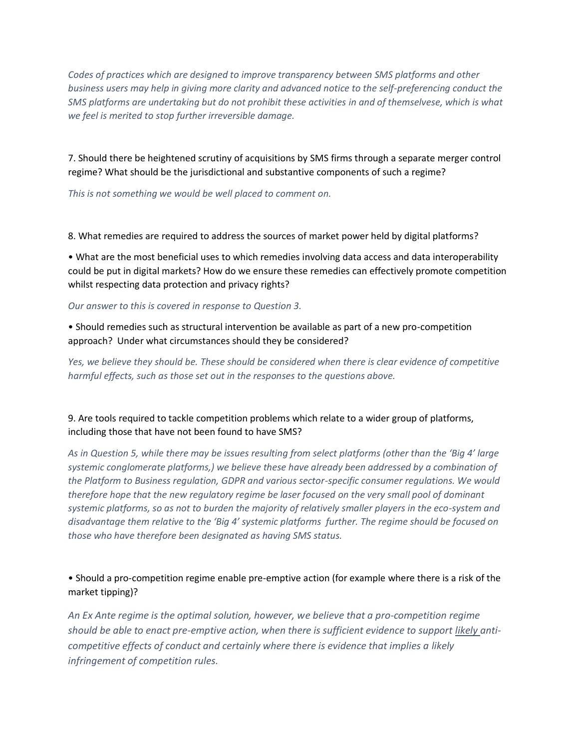*Codes of practices which are designed to improve transparency between SMS platforms and other business users may help in giving more clarity and advanced notice to the self-preferencing conduct the SMS platforms are undertaking but do not prohibit these activities in and of themselvese, which is what we feel is merited to stop further irreversible damage.* 

7. Should there be heightened scrutiny of acquisitions by SMS firms through a separate merger control regime? What should be the jurisdictional and substantive components of such a regime?

*This is not something we would be well placed to comment on.* 

8. What remedies are required to address the sources of market power held by digital platforms?

• What are the most beneficial uses to which remedies involving data access and data interoperability could be put in digital markets? How do we ensure these remedies can effectively promote competition whilst respecting data protection and privacy rights?

*Our answer to this is covered in response to Question 3.*

• Should remedies such as structural intervention be available as part of a new pro-competition approach? Under what circumstances should they be considered?

*Yes, we believe they should be. These should be considered when there is clear evidence of competitive harmful effects, such as those set out in the responses to the questions above.* 

# 9. Are tools required to tackle competition problems which relate to a wider group of platforms, including those that have not been found to have SMS?

*As in Question 5, while there may be issues resulting from select platforms (other than the 'Big 4' large systemic conglomerate platforms,) we believe these have already been addressed by a combination of the Platform to Business regulation, GDPR and various sector-specific consumer regulations. We would therefore hope that the new regulatory regime be laser focused on the very small pool of dominant systemic platforms, so as not to burden the majority of relatively smaller players in the eco-system and disadvantage them relative to the 'Big 4' systemic platforms further. The regime should be focused on those who have therefore been designated as having SMS status.*

# • Should a pro-competition regime enable pre-emptive action (for example where there is a risk of the market tipping)?

*An Ex Ante regime is the optimal solution, however, we believe that a pro-competition regime should be able to enact pre-emptive action, when there is sufficient evidence to support likely anticompetitive effects of conduct and certainly where there is evidence that implies a likely infringement of competition rules.*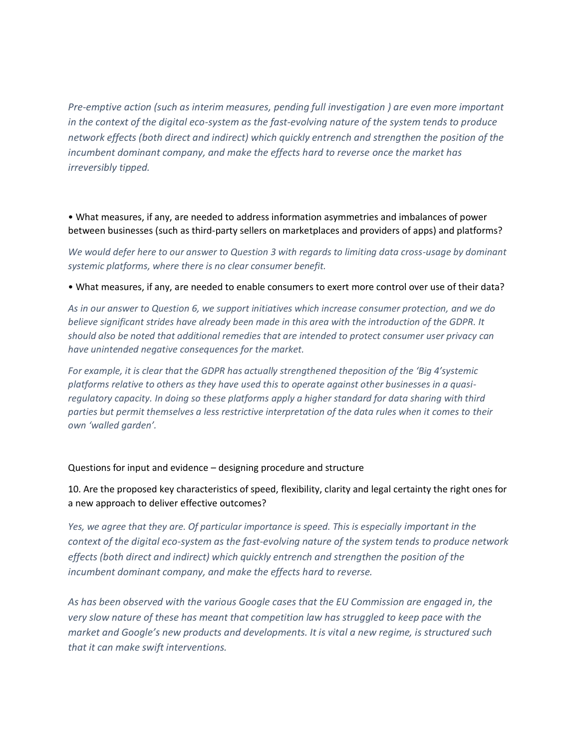*Pre-emptive action (such as interim measures, pending full investigation ) are even more important in the context of the digital eco-system as the fast-evolving nature of the system tends to produce network effects (both direct and indirect) which quickly entrench and strengthen the position of the incumbent dominant company, and make the effects hard to reverse once the market has irreversibly tipped.* 

• What measures, if any, are needed to address information asymmetries and imbalances of power between businesses (such as third-party sellers on marketplaces and providers of apps) and platforms?

*We would defer here to our answer to Question 3 with regards to limiting data cross-usage by dominant systemic platforms, where there is no clear consumer benefit.* 

• What measures, if any, are needed to enable consumers to exert more control over use of their data?

*As in our answer to Question 6, we support initiatives which increase consumer protection, and we do believe significant strides have already been made in this area with the introduction of the GDPR. It should also be noted that additional remedies that are intended to protect consumer user privacy can have unintended negative consequences for the market.*

*For example, it is clear that the GDPR has actually strengthened theposition of the 'Big 4'systemic platforms relative to others as they have used this to operate against other businesses in a quasiregulatory capacity. In doing so these platforms apply a higher standard for data sharing with third parties but permit themselves a less restrictive interpretation of the data rules when it comes to their own 'walled garden'.* 

Questions for input and evidence – designing procedure and structure

10. Are the proposed key characteristics of speed, flexibility, clarity and legal certainty the right ones for a new approach to deliver effective outcomes?

*Yes, we agree that they are. Of particular importance is speed. This is especially important in the context of the digital eco-system as the fast-evolving nature of the system tends to produce network effects (both direct and indirect) which quickly entrench and strengthen the position of the incumbent dominant company, and make the effects hard to reverse.* 

*As has been observed with the various Google cases that the EU Commission are engaged in, the very slow nature of these has meant that competition law has struggled to keep pace with the market and Google's new products and developments. It is vital a new regime, is structured such that it can make swift interventions.*